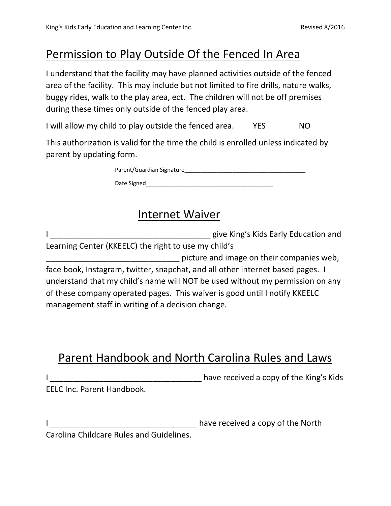## Permission to Play Outside Of the Fenced In Area

I understand that the facility may have planned activities outside of the fenced area of the facility. This may include but not limited to fire drills, nature walks, buggy rides, walk to the play area, ect. The children will not be off premises during these times only outside of the fenced play area.

I will allow my child to play outside the fenced area. YES NO

This authorization is valid for the time the child is enrolled unless indicated by parent by updating form.

| Parent/Guardian Signature |  |
|---------------------------|--|
| Date Signed               |  |

## Internet Waiver

I \_\_\_\_\_\_\_\_\_\_\_\_\_\_\_\_\_\_\_\_\_\_\_\_\_\_\_\_\_\_\_\_\_\_\_\_ give King's Kids Early Education and Learning Center (KKEELC) the right to use my child's \_\_\_\_\_\_\_\_\_\_\_\_\_\_\_\_\_\_\_\_\_\_\_\_\_\_\_\_\_\_ picture and image on their companies web, face book, Instagram, twitter, snapchat, and all other internet based pages. I understand that my child's name will NOT be used without my permission on any of these company operated pages. This waiver is good until I notify KKEELC management staff in writing of a decision change.

## Parent Handbook and North Carolina Rules and Laws

|                                   | have received a copy of the King's Kids |
|-----------------------------------|-----------------------------------------|
| <b>EELC Inc. Parent Handbook.</b> |                                         |

I \_\_\_\_\_\_\_\_\_\_\_\_\_\_\_\_\_\_\_\_\_\_\_\_\_\_\_\_\_\_\_\_\_ have received a copy of the North

Carolina Childcare Rules and Guidelines.